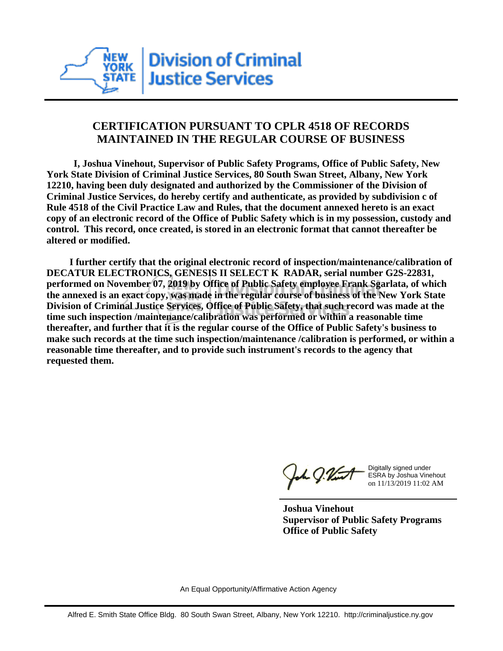

## **CERTIFICATION PURSUANT TO CPLR 4518 OF RECORDS MAINTAINED IN THE REGULAR COURSE OF BUSINESS**

 **I, Joshua Vinehout, Supervisor of Public Safety Programs, Office of Public Safety, New York State Division of Criminal Justice Services, 80 South Swan Street, Albany, New York 12210, having been duly designated and authorized by the Commissioner of the Division of Criminal Justice Services, do hereby certify and authenticate, as provided by subdivision c of Rule 4518 of the Civil Practice Law and Rules, that the document annexed hereto is an exact copy of an electronic record of the Office of Public Safety which is in my possession, custody and control. This record, once created, is stored in an electronic format that cannot thereafter be altered or modified.**

 **I further certify that the original electronic record of inspection/maintenance/calibration of DECATUR ELECTRONICS, GENESIS II SELECT K RADAR, serial number G2S-22831, performed on November 07, 2019 by Office of Public Safety employee Frank Sgarlata, of which the annexed is an exact copy, was made in the regular course of business of the New York State Division of Criminal Justice Services, Office of Public Safety, that such record was made at the time such inspection /maintenance/calibration was performed or within a reasonable time thereafter, and further that it is the regular course of the Office of Public Safety's business to make such records at the time such inspection/maintenance /calibration is performed, or within a reasonable time thereafter, and to provide such instrument's records to the agency that requested them.**

h J.Vint

Digitally signed under ESRA by Joshua Vinehout on 11/13/2019 11:02 AM

**Joshua Vinehout Supervisor of Public Safety Programs Office of Public Safety**

An Equal Opportunity/Affirmative Action Agency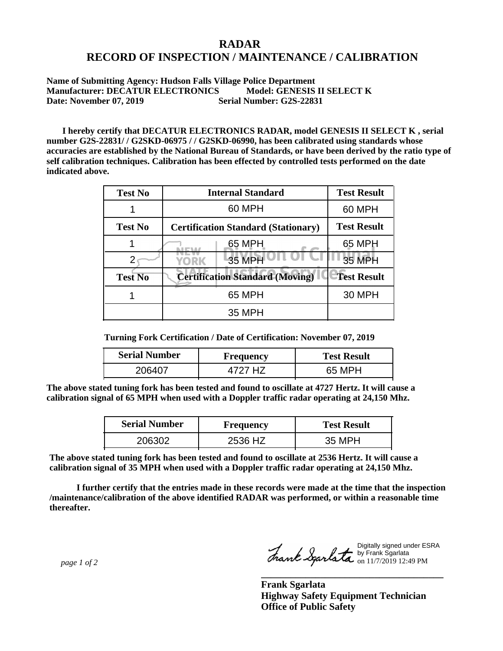## **RADAR RECORD OF INSPECTION / MAINTENANCE / CALIBRATION**

**Name of Submitting Agency: Hudson Falls Village Police Department Manufacturer: DECATUR ELECTRONICS Model: GENESIS II SELECT K Date: November 07, 2019** Serial Number: G2S-22831

 **I hereby certify that DECATUR ELECTRONICS RADAR, model GENESIS II SELECT K , serial number G2S-22831/ / G2SKD-06975 / / G2SKD-06990, has been calibrated using standards whose accuracies are established by the National Bureau of Standards, or have been derived by the ratio type of self calibration techniques. Calibration has been effected by controlled tests performed on the date indicated above.**

| <b>Test No</b> | <b>Internal Standard</b>                   | <b>Test Result</b> |
|----------------|--------------------------------------------|--------------------|
|                | 60 MPH                                     | 60 MPH             |
| <b>Test No</b> | <b>Certification Standard (Stationary)</b> | <b>Test Result</b> |
|                | 65 MPH                                     | 65 MPH             |
|                | 35 MPH<br>YORK                             | 35 MPH             |
| <b>Test No</b> | <b>Certification Standard (Moving)</b>     | <b>Test Result</b> |
|                | 65 MPH                                     | <b>30 MPH</b>      |
|                | 35 MPH                                     |                    |

**Turning Fork Certification / Date of Certification: November 07, 2019**

| <b>Serial Number</b> | <b>Frequency</b> | <b>Test Result</b> |
|----------------------|------------------|--------------------|
| 206407               | 4727 H.Z         | 65 MPH             |

**The above stated tuning fork has been tested and found to oscillate at 4727 Hertz. It will cause a calibration signal of 65 MPH when used with a Doppler traffic radar operating at 24,150 Mhz.**

| <b>Serial Number</b> | <b>Frequency</b> | <b>Test Result</b> |
|----------------------|------------------|--------------------|
| 206302               | 2536 HZ          | 35 MPH             |

**The above stated tuning fork has been tested and found to oscillate at 2536 Hertz. It will cause a calibration signal of 35 MPH when used with a Doppler traffic radar operating at 24,150 Mhz.**

 **I further certify that the entries made in these records were made at the time that the inspection /maintenance/calibration of the above identified RADAR was performed, or within a reasonable time thereafter.**

 *page 1 of 2* 

Digitally signed under ESRA by Frank Sgarlata on 11/7/2019 12:49 PM

**\_\_\_\_\_\_\_\_\_\_\_\_\_\_\_\_\_\_\_\_\_\_\_\_\_\_\_\_\_\_\_\_\_\_\_\_\_**

**Frank Sgarlata Highway Safety Equipment Technician Office of Public Safety**